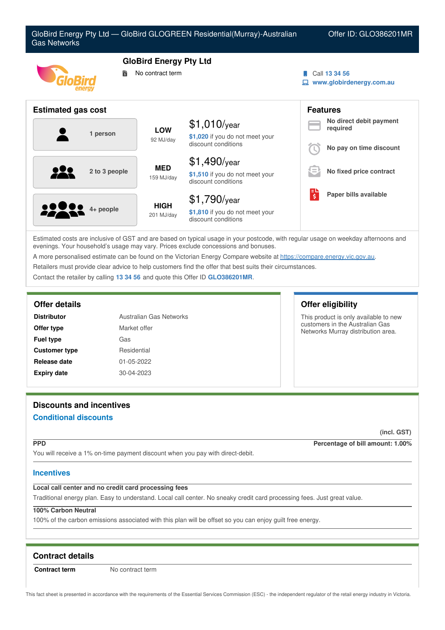

Estimated costs are inclusive of GST and are based on typical usage in your postcode, with regular usage on weekday afternoons and evenings. Your household's usage may vary. Prices exclude concessions and bonuses.

A more personalised estimate can be found on the Victorian Energy Compare website at <https://compare.energy.vic.gov.au>.

Retailers must provide clear advice to help customers find the offer that best suits their circumstances.

Contact the retailer by calling **13 34 56** and quote this Offer ID **GLO386201MR**.

| <b>Distributor</b>   | Australian Gas Networks |
|----------------------|-------------------------|
| Offer type           | Market offer            |
| <b>Fuel type</b>     | Gas                     |
| <b>Customer type</b> | Residential             |
| Release date         | 01-05-2022              |
| <b>Expiry date</b>   | 30-04-2023              |

# **Offer details Offer eligibility**

This product is only available to new customers in the Australian Gas Networks Murray distribution area.

# **Discounts and incentives**

# **Conditional discounts**

**(incl. GST)**

**PPD Percentage of bill amount: 1.00%**

You will receive a 1% on-time payment discount when you pay with direct-debit.

# **Incentives**

# **Local call center and no credit card processing fees**

Traditional energy plan. Easy to understand. Local call center. No sneaky credit card processing fees. Just great value.

# **100% Carbon Neutral**

100% of the carbon emissions associated with this plan will be offset so you can enjoy guilt free energy.

# **Contract details**

**Contract term** No contract term

This fact sheet is presented in accordance with the requirements of the Essential Services Commission (ESC) - the independent regulator of the retail energy industry in Victoria.